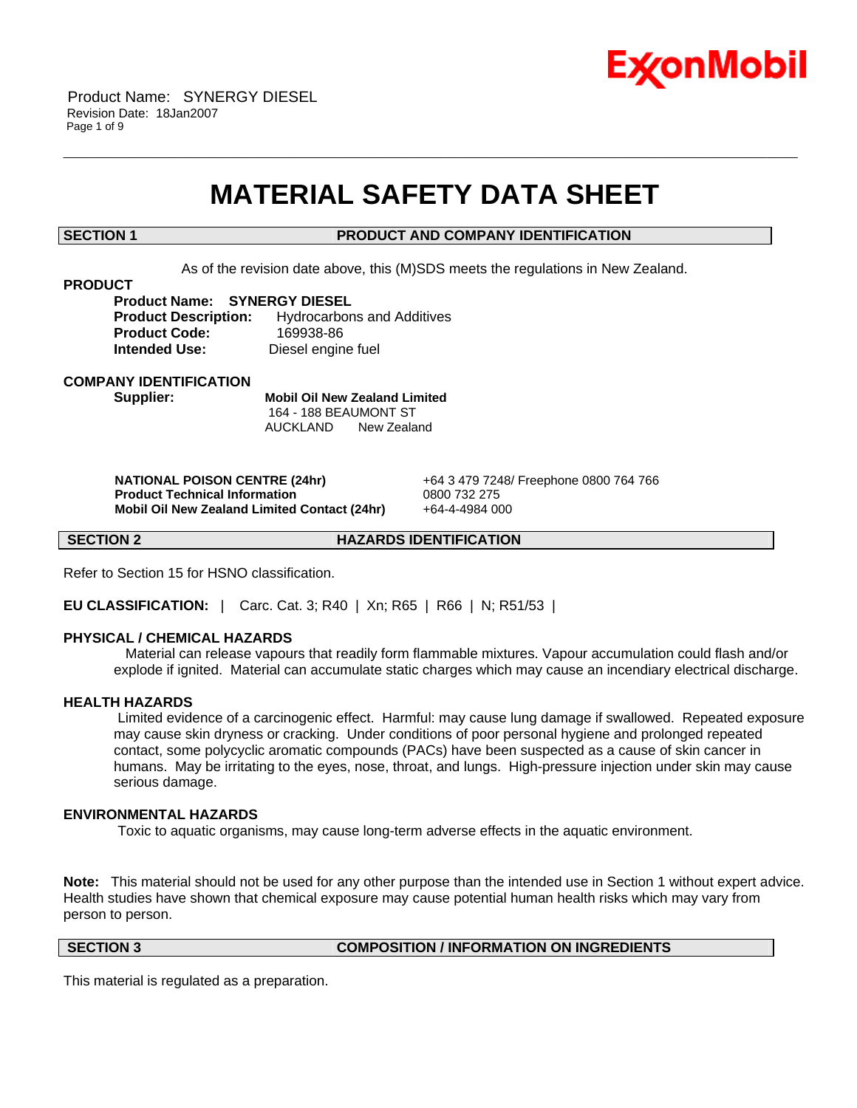

# **MATERIAL SAFETY DATA SHEET**

\_\_\_\_\_\_\_\_\_\_\_\_\_\_\_\_\_\_\_\_\_\_\_\_\_\_\_\_\_\_\_\_\_\_\_\_\_\_\_\_\_\_\_\_\_\_\_\_\_\_\_\_\_\_\_\_\_\_\_\_\_\_\_\_\_\_\_\_\_\_\_\_\_\_\_\_\_\_\_\_\_\_\_\_\_\_\_\_\_\_\_\_\_\_\_\_\_\_\_\_\_\_\_\_\_\_\_\_\_\_\_\_\_\_\_\_\_\_

# **SECTION 1 PRODUCT AND COMPANY IDENTIFICATION**

As of the revision date above, this (M)SDS meets the regulations in New Zealand.

### **PRODUCT**

**Product Name: SYNERGY DIESEL Product Description:** Hydrocarbons and Additives **Product Code:** 169938-86 **Intended Use:** Diesel engine fuel

**COMPANY IDENTIFICATION**

**Supplier: Mobil Oil New Zealand Limited** 164 - 188 BEAUMONT ST AUCKLAND New Zealand

 **NATIONAL POISON CENTRE (24hr)** +64 3 479 7248/ Freephone 0800 764 766  **Product Technical Information** 0800 732 275  **Mobil Oil New Zealand Limited Contact (24hr)** +64-4-4984 000

**SECTION 2 HAZARDS IDENTIFICATION** 

Refer to Section 15 for HSNO classification.

**EU CLASSIFICATION:** | Carc. Cat. 3; R40 | Xn; R65 | R66 | N; R51/53 |

# **PHYSICAL / CHEMICAL HAZARDS**

 Material can release vapours that readily form flammable mixtures. Vapour accumulation could flash and/or explode if ignited. Material can accumulate static charges which may cause an incendiary electrical discharge.

### **HEALTH HAZARDS**

 Limited evidence of a carcinogenic effect. Harmful: may cause lung damage if swallowed. Repeated exposure may cause skin dryness or cracking. Under conditions of poor personal hygiene and prolonged repeated contact, some polycyclic aromatic compounds (PACs) have been suspected as a cause of skin cancer in humans. May be irritating to the eyes, nose, throat, and lungs. High-pressure injection under skin may cause serious damage.

# **ENVIRONMENTAL HAZARDS**

Toxic to aquatic organisms, may cause long-term adverse effects in the aquatic environment.

**Note:** This material should not be used for any other purpose than the intended use in Section 1 without expert advice. Health studies have shown that chemical exposure may cause potential human health risks which may vary from person to person.

**SECTION 3 COMPOSITION / INFORMATION ON INGREDIENTS**

This material is regulated as a preparation.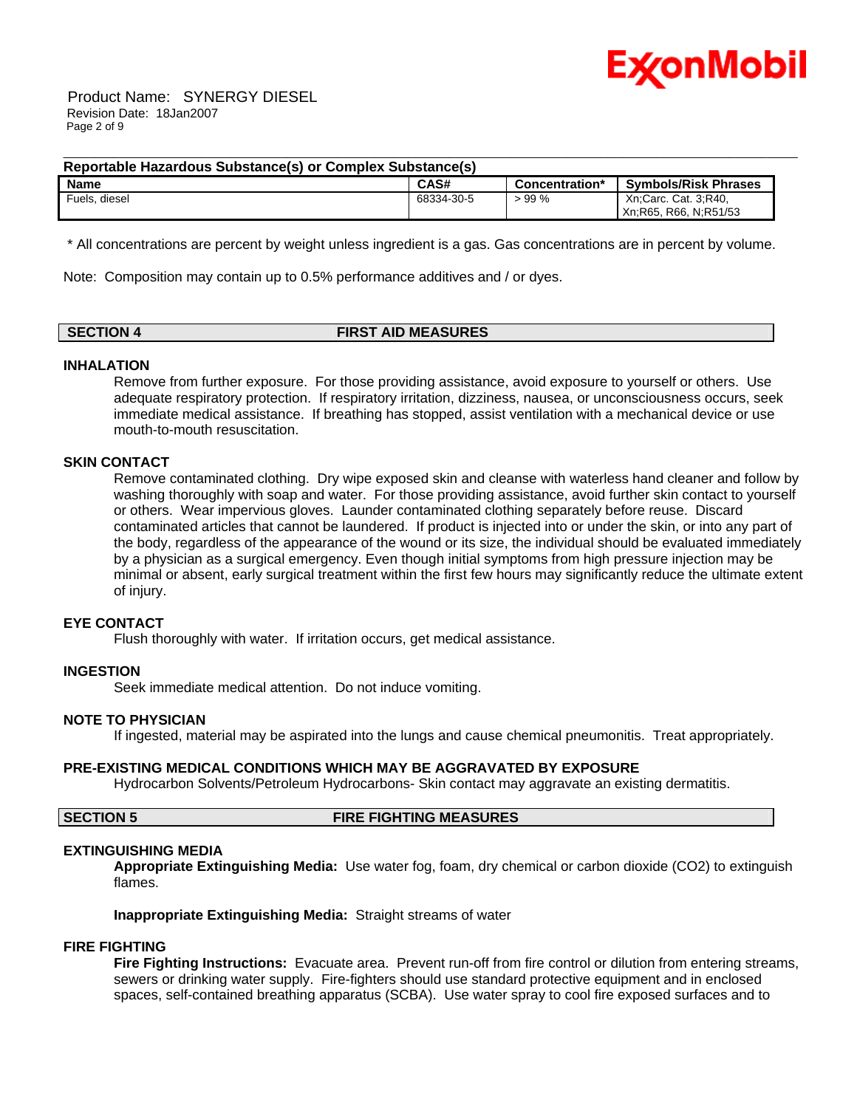

 Product Name: SYNERGY DIESEL Revision Date: 18Jan2007 Page 2 of 9

# **Reportable Hazardous Substance(s) or Complex Substance(s)**

| <b>Name</b>         | <b>CAS#</b> | Concentration* | <b>Symbols/Risk Phrases</b> |
|---------------------|-------------|----------------|-----------------------------|
| $F$ uels.<br>diesel | 68334-30-5  | 99 %           | Xn:Carc. Cat. 3:R40,        |
|                     |             |                | R66, N;R51/53<br>Xn:R65.    |

\_\_\_\_\_\_\_\_\_\_\_\_\_\_\_\_\_\_\_\_\_\_\_\_\_\_\_\_\_\_\_\_\_\_\_\_\_\_\_\_\_\_\_\_\_\_\_\_\_\_\_\_\_\_\_\_\_\_\_\_\_\_\_\_\_\_\_\_\_\_\_\_\_\_\_\_\_\_\_\_\_\_\_\_\_\_\_\_\_\_\_\_\_\_\_\_\_\_\_\_\_\_\_\_\_\_\_\_\_\_\_\_\_\_\_\_\_\_

\* All concentrations are percent by weight unless ingredient is a gas. Gas concentrations are in percent by volume.

Note: Composition may contain up to 0.5% performance additives and / or dyes.

# **SECTION 4 FIRST AID MEASURES**

### **INHALATION**

Remove from further exposure. For those providing assistance, avoid exposure to yourself or others. Use adequate respiratory protection. If respiratory irritation, dizziness, nausea, or unconsciousness occurs, seek immediate medical assistance. If breathing has stopped, assist ventilation with a mechanical device or use mouth-to-mouth resuscitation.

### **SKIN CONTACT**

Remove contaminated clothing. Dry wipe exposed skin and cleanse with waterless hand cleaner and follow by washing thoroughly with soap and water. For those providing assistance, avoid further skin contact to yourself or others. Wear impervious gloves. Launder contaminated clothing separately before reuse. Discard contaminated articles that cannot be laundered. If product is injected into or under the skin, or into any part of the body, regardless of the appearance of the wound or its size, the individual should be evaluated immediately by a physician as a surgical emergency. Even though initial symptoms from high pressure injection may be minimal or absent, early surgical treatment within the first few hours may significantly reduce the ultimate extent of injury.

### **EYE CONTACT**

Flush thoroughly with water. If irritation occurs, get medical assistance.

### **INGESTION**

Seek immediate medical attention. Do not induce vomiting.

### **NOTE TO PHYSICIAN**

If ingested, material may be aspirated into the lungs and cause chemical pneumonitis. Treat appropriately.

### **PRE-EXISTING MEDICAL CONDITIONS WHICH MAY BE AGGRAVATED BY EXPOSURE**

Hydrocarbon Solvents/Petroleum Hydrocarbons- Skin contact may aggravate an existing dermatitis.

# **SECTION 5 FIRE FIGHTING MEASURES**

### **EXTINGUISHING MEDIA**

**Appropriate Extinguishing Media:** Use water fog, foam, dry chemical or carbon dioxide (CO2) to extinguish flames.

**Inappropriate Extinguishing Media:** Straight streams of water

# **FIRE FIGHTING**

**Fire Fighting Instructions:** Evacuate area. Prevent run-off from fire control or dilution from entering streams, sewers or drinking water supply. Fire-fighters should use standard protective equipment and in enclosed spaces, self-contained breathing apparatus (SCBA). Use water spray to cool fire exposed surfaces and to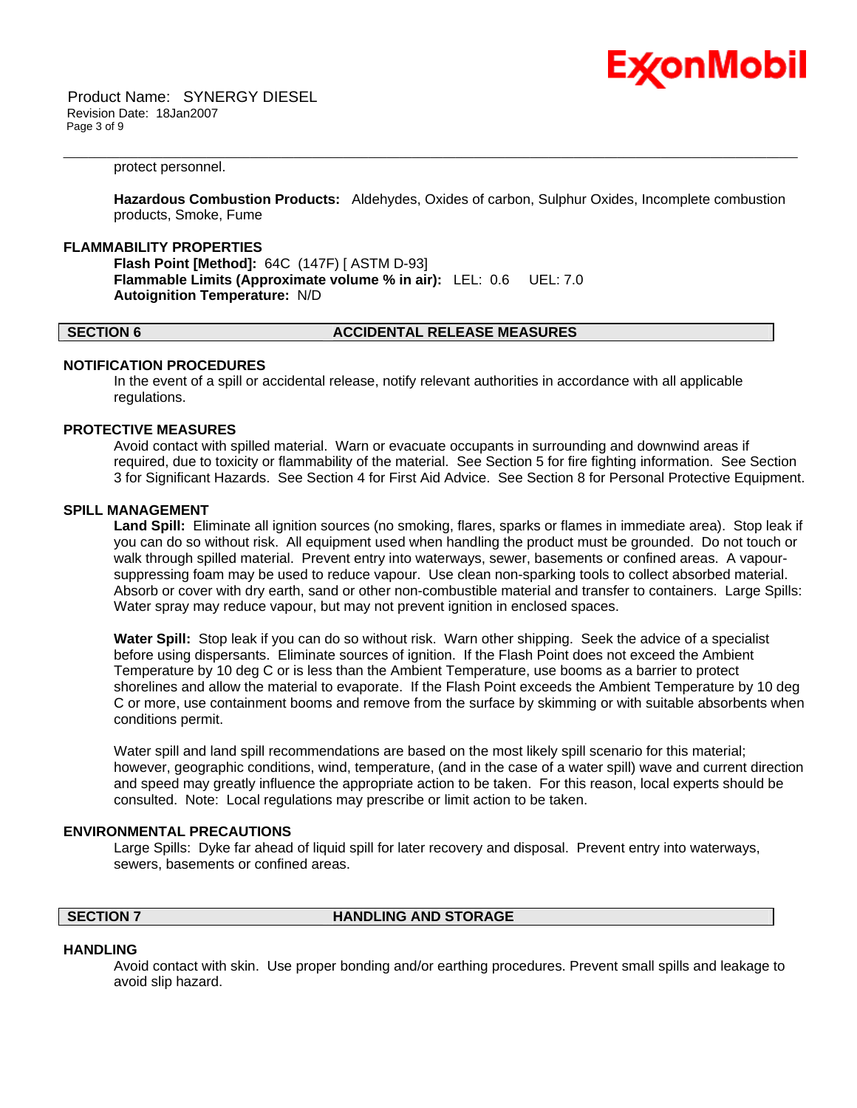

 Product Name: SYNERGY DIESEL Revision Date: 18Jan2007 Page 3 of 9

#### protect personnel.

**Hazardous Combustion Products:** Aldehydes, Oxides of carbon, Sulphur Oxides, Incomplete combustion products, Smoke, Fume

\_\_\_\_\_\_\_\_\_\_\_\_\_\_\_\_\_\_\_\_\_\_\_\_\_\_\_\_\_\_\_\_\_\_\_\_\_\_\_\_\_\_\_\_\_\_\_\_\_\_\_\_\_\_\_\_\_\_\_\_\_\_\_\_\_\_\_\_\_\_\_\_\_\_\_\_\_\_\_\_\_\_\_\_\_\_\_\_\_\_\_\_\_\_\_\_\_\_\_\_\_\_\_\_\_\_\_\_\_\_\_\_\_\_\_\_\_\_

### **FLAMMABILITY PROPERTIES**

**Flash Point [Method]:** 64C (147F) [ ASTM D-93] **Flammable Limits (Approximate volume % in air):** LEL: 0.6 UEL: 7.0 **Autoignition Temperature:** N/D

#### **SECTION 6 ACCIDENTAL RELEASE MEASURES**

# **NOTIFICATION PROCEDURES**

In the event of a spill or accidental release, notify relevant authorities in accordance with all applicable regulations.

#### **PROTECTIVE MEASURES**

Avoid contact with spilled material. Warn or evacuate occupants in surrounding and downwind areas if required, due to toxicity or flammability of the material. See Section 5 for fire fighting information. See Section 3 for Significant Hazards. See Section 4 for First Aid Advice. See Section 8 for Personal Protective Equipment.

#### **SPILL MANAGEMENT**

**Land Spill:** Eliminate all ignition sources (no smoking, flares, sparks or flames in immediate area). Stop leak if you can do so without risk. All equipment used when handling the product must be grounded. Do not touch or walk through spilled material. Prevent entry into waterways, sewer, basements or confined areas. A vapoursuppressing foam may be used to reduce vapour. Use clean non-sparking tools to collect absorbed material. Absorb or cover with dry earth, sand or other non-combustible material and transfer to containers. Large Spills: Water spray may reduce vapour, but may not prevent ignition in enclosed spaces.

**Water Spill:** Stop leak if you can do so without risk. Warn other shipping. Seek the advice of a specialist before using dispersants. Eliminate sources of ignition. If the Flash Point does not exceed the Ambient Temperature by 10 deg C or is less than the Ambient Temperature, use booms as a barrier to protect shorelines and allow the material to evaporate. If the Flash Point exceeds the Ambient Temperature by 10 deg C or more, use containment booms and remove from the surface by skimming or with suitable absorbents when conditions permit.

Water spill and land spill recommendations are based on the most likely spill scenario for this material; however, geographic conditions, wind, temperature, (and in the case of a water spill) wave and current direction and speed may greatly influence the appropriate action to be taken. For this reason, local experts should be consulted. Note: Local regulations may prescribe or limit action to be taken.

#### **ENVIRONMENTAL PRECAUTIONS**

Large Spills: Dyke far ahead of liquid spill for later recovery and disposal. Prevent entry into waterways, sewers, basements or confined areas.

### **SECTION 7 HANDLING AND STORAGE**

# **HANDLING**

Avoid contact with skin. Use proper bonding and/or earthing procedures. Prevent small spills and leakage to avoid slip hazard.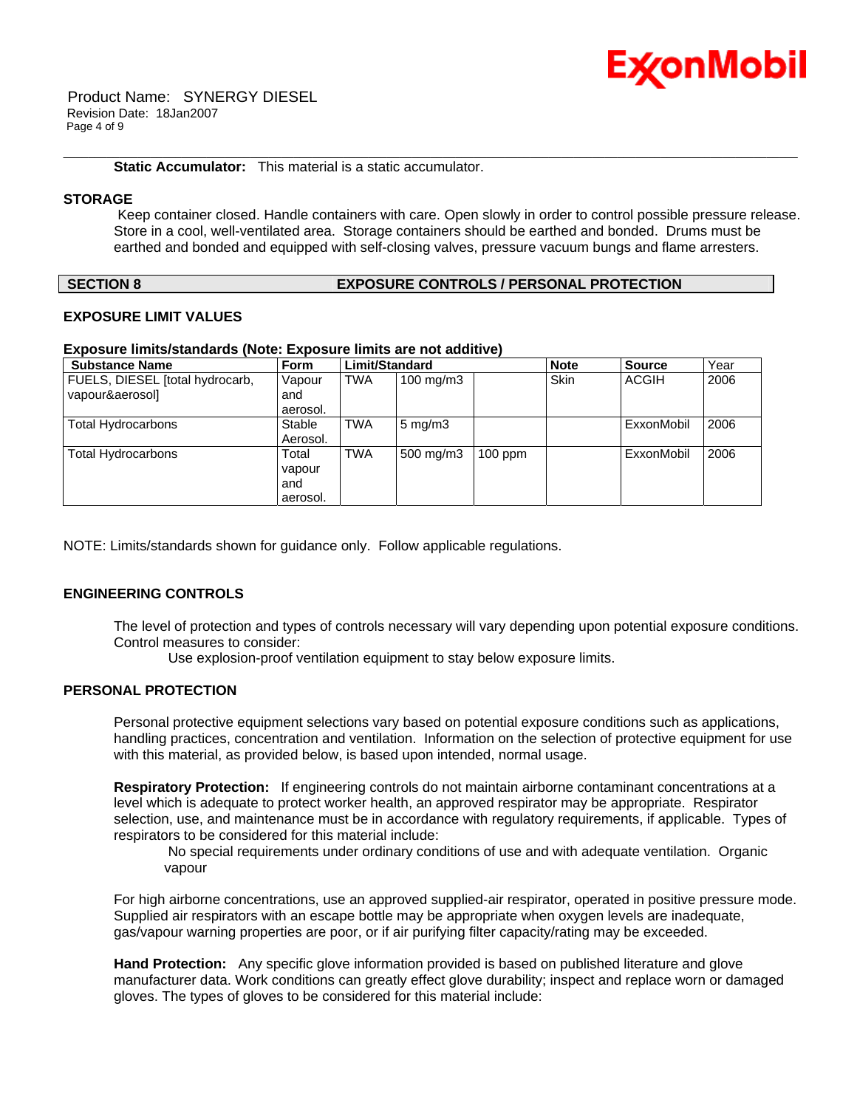

 Product Name: SYNERGY DIESEL Revision Date: 18Jan2007 Page 4 of 9

**Static Accumulator:** This material is a static accumulator.

# **STORAGE**

 Keep container closed. Handle containers with care. Open slowly in order to control possible pressure release. Store in a cool, well-ventilated area. Storage containers should be earthed and bonded. Drums must be earthed and bonded and equipped with self-closing valves, pressure vacuum bungs and flame arresters.

\_\_\_\_\_\_\_\_\_\_\_\_\_\_\_\_\_\_\_\_\_\_\_\_\_\_\_\_\_\_\_\_\_\_\_\_\_\_\_\_\_\_\_\_\_\_\_\_\_\_\_\_\_\_\_\_\_\_\_\_\_\_\_\_\_\_\_\_\_\_\_\_\_\_\_\_\_\_\_\_\_\_\_\_\_\_\_\_\_\_\_\_\_\_\_\_\_\_\_\_\_\_\_\_\_\_\_\_\_\_\_\_\_\_\_\_\_\_

### **SECTION 8 EXPOSURE CONTROLS / PERSONAL PROTECTION**

# **EXPOSURE LIMIT VALUES**

# **Exposure limits/standards (Note: Exposure limits are not additive)**

| <b>Substance Name</b>           | <b>Form</b> | Limit/Standard |                  |           | <b>Note</b> | <b>Source</b> | Year |
|---------------------------------|-------------|----------------|------------------|-----------|-------------|---------------|------|
| FUELS, DIESEL [total hydrocarb, | Vapour      | <b>TWA</b>     | 100 mg/m $3$     |           | <b>Skin</b> | <b>ACGIH</b>  | 2006 |
| vapour&aerosol]                 | and         |                |                  |           |             |               |      |
|                                 | aerosol.    |                |                  |           |             |               |      |
| Total Hydrocarbons              | Stable      | <b>TWA</b>     | $5 \text{ mg/m}$ |           |             | ExxonMobil    | 2006 |
|                                 | Aerosol.    |                |                  |           |             |               |      |
| Total Hydrocarbons              | Total       | <b>TWA</b>     | 500 mg/m3        | $100$ ppm |             | ExxonMobil    | 2006 |
|                                 | vapour      |                |                  |           |             |               |      |
|                                 | and         |                |                  |           |             |               |      |
|                                 | aerosol.    |                |                  |           |             |               |      |

NOTE: Limits/standards shown for guidance only. Follow applicable regulations.

# **ENGINEERING CONTROLS**

The level of protection and types of controls necessary will vary depending upon potential exposure conditions. Control measures to consider:

Use explosion-proof ventilation equipment to stay below exposure limits.

# **PERSONAL PROTECTION**

Personal protective equipment selections vary based on potential exposure conditions such as applications, handling practices, concentration and ventilation. Information on the selection of protective equipment for use with this material, as provided below, is based upon intended, normal usage.

**Respiratory Protection:** If engineering controls do not maintain airborne contaminant concentrations at a level which is adequate to protect worker health, an approved respirator may be appropriate. Respirator selection, use, and maintenance must be in accordance with regulatory requirements, if applicable. Types of respirators to be considered for this material include:

 No special requirements under ordinary conditions of use and with adequate ventilation. Organic vapour

For high airborne concentrations, use an approved supplied-air respirator, operated in positive pressure mode. Supplied air respirators with an escape bottle may be appropriate when oxygen levels are inadequate, gas/vapour warning properties are poor, or if air purifying filter capacity/rating may be exceeded.

**Hand Protection:** Any specific glove information provided is based on published literature and glove manufacturer data. Work conditions can greatly effect glove durability; inspect and replace worn or damaged gloves. The types of gloves to be considered for this material include: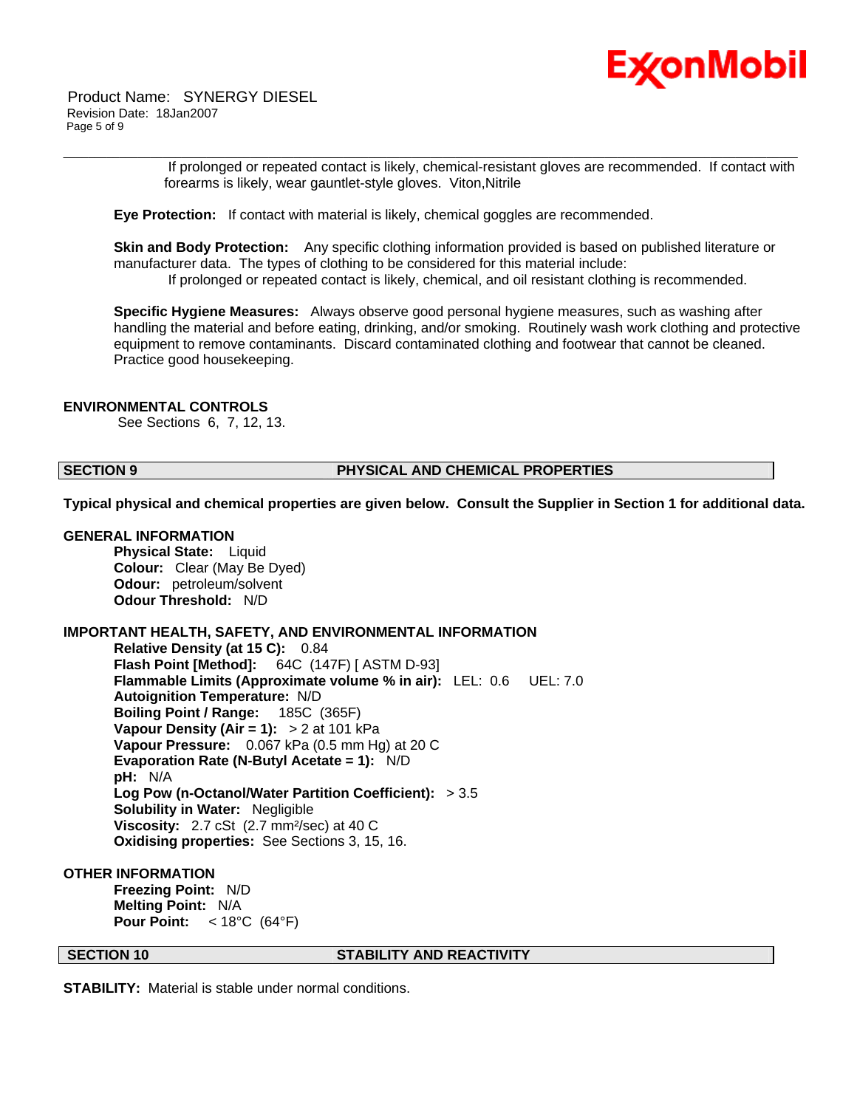

 If prolonged or repeated contact is likely, chemical-resistant gloves are recommended. If contact with forearms is likely, wear gauntlet-style gloves. Viton,Nitrile

**Eye Protection:** If contact with material is likely, chemical goggles are recommended.

**Skin and Body Protection:** Any specific clothing information provided is based on published literature or manufacturer data. The types of clothing to be considered for this material include: If prolonged or repeated contact is likely, chemical, and oil resistant clothing is recommended.

\_\_\_\_\_\_\_\_\_\_\_\_\_\_\_\_\_\_\_\_\_\_\_\_\_\_\_\_\_\_\_\_\_\_\_\_\_\_\_\_\_\_\_\_\_\_\_\_\_\_\_\_\_\_\_\_\_\_\_\_\_\_\_\_\_\_\_\_\_\_\_\_\_\_\_\_\_\_\_\_\_\_\_\_\_\_\_\_\_\_\_\_\_\_\_\_\_\_\_\_\_\_\_\_\_\_\_\_\_\_\_\_\_\_\_\_\_\_

**Specific Hygiene Measures:** Always observe good personal hygiene measures, such as washing after handling the material and before eating, drinking, and/or smoking. Routinely wash work clothing and protective equipment to remove contaminants. Discard contaminated clothing and footwear that cannot be cleaned. Practice good housekeeping.

### **ENVIRONMENTAL CONTROLS**

See Sections 6, 7, 12, 13.

# **SECTION 9 PHYSICAL AND CHEMICAL PROPERTIES**

**Typical physical and chemical properties are given below. Consult the Supplier in Section 1 for additional data.**

# **GENERAL INFORMATION**

**Physical State:** Liquid **Colour:** Clear (May Be Dyed) **Odour:** petroleum/solvent **Odour Threshold:** N/D

# **IMPORTANT HEALTH, SAFETY, AND ENVIRONMENTAL INFORMATION**

**Relative Density (at 15 C):** 0.84 **Flash Point [Method]:** 64C (147F) [ ASTM D-93] **Flammable Limits (Approximate volume % in air):** LEL: 0.6 UEL: 7.0 **Autoignition Temperature:** N/D **Boiling Point / Range:** 185C (365F) **Vapour Density (Air = 1):** > 2 at 101 kPa **Vapour Pressure:** 0.067 kPa (0.5 mm Hg) at 20 C **Evaporation Rate (N-Butyl Acetate = 1):** N/D **pH:** N/A **Log Pow (n-Octanol/Water Partition Coefficient):** > 3.5 **Solubility in Water:** Negligible **Viscosity:** 2.7 cSt (2.7 mm²/sec) at 40 C **Oxidising properties:** See Sections 3, 15, 16.

# **OTHER INFORMATION**

**Freezing Point:** N/D **Melting Point:** N/A **Pour Point:** < 18°C (64°F)

# **SECTION 10 STABILITY AND REACTIVITY**

**STABILITY:** Material is stable under normal conditions.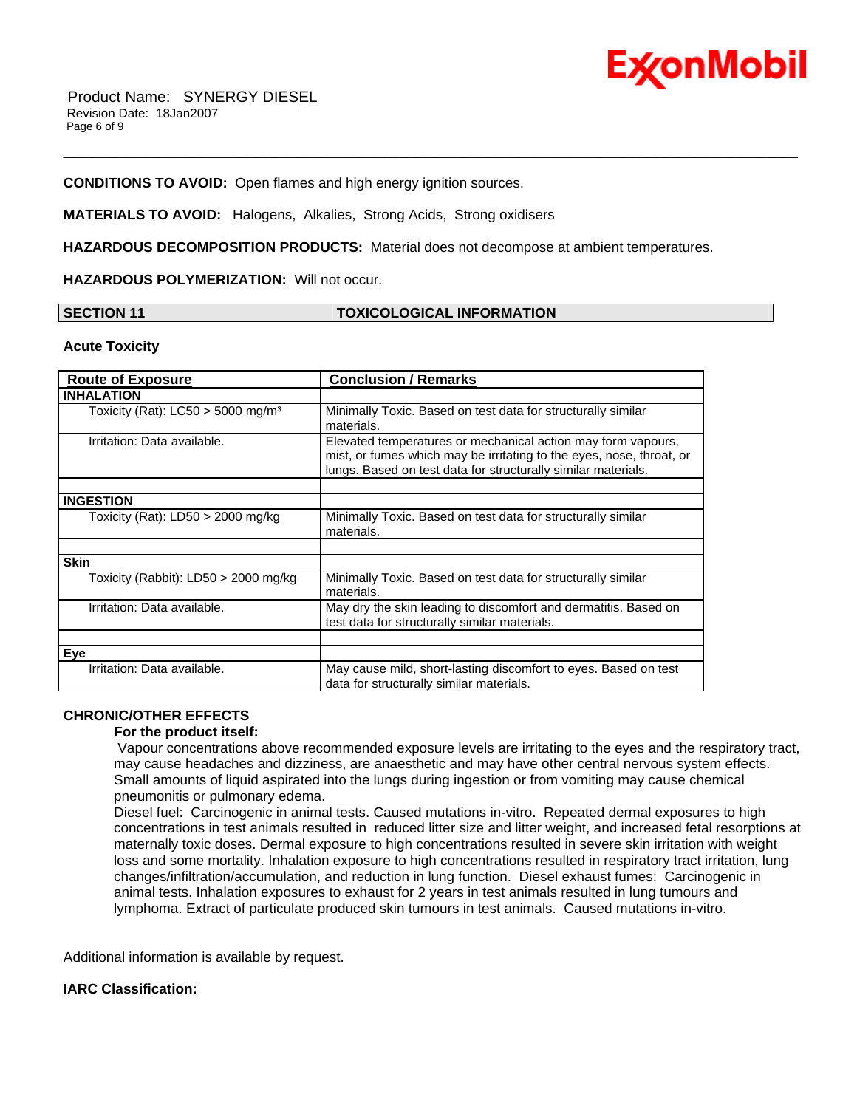

# **CONDITIONS TO AVOID:** Open flames and high energy ignition sources.

**MATERIALS TO AVOID:** Halogens, Alkalies, Strong Acids, Strong oxidisers

**HAZARDOUS DECOMPOSITION PRODUCTS:** Material does not decompose at ambient temperatures.

**HAZARDOUS POLYMERIZATION:** Will not occur.

# **SECTION 11 TOXICOLOGICAL INFORMATION**

\_\_\_\_\_\_\_\_\_\_\_\_\_\_\_\_\_\_\_\_\_\_\_\_\_\_\_\_\_\_\_\_\_\_\_\_\_\_\_\_\_\_\_\_\_\_\_\_\_\_\_\_\_\_\_\_\_\_\_\_\_\_\_\_\_\_\_\_\_\_\_\_\_\_\_\_\_\_\_\_\_\_\_\_\_\_\_\_\_\_\_\_\_\_\_\_\_\_\_\_\_\_\_\_\_\_\_\_\_\_\_\_\_\_\_\_\_\_

#### **Acute Toxicity**

| <b>Route of Exposure</b>                        | <b>Conclusion / Remarks</b>                                                                                                                                                                           |  |  |
|-------------------------------------------------|-------------------------------------------------------------------------------------------------------------------------------------------------------------------------------------------------------|--|--|
| <b>INHALATION</b>                               |                                                                                                                                                                                                       |  |  |
| Toxicity (Rat): $LC50 > 5000$ mg/m <sup>3</sup> | Minimally Toxic. Based on test data for structurally similar<br>materials.                                                                                                                            |  |  |
| Irritation: Data available.                     | Elevated temperatures or mechanical action may form vapours,<br>mist, or fumes which may be irritating to the eyes, nose, throat, or<br>lungs. Based on test data for structurally similar materials. |  |  |
| <b>INGESTION</b>                                |                                                                                                                                                                                                       |  |  |
| Toxicity (Rat): LD50 > 2000 mg/kg               | Minimally Toxic. Based on test data for structurally similar<br>materials.                                                                                                                            |  |  |
|                                                 |                                                                                                                                                                                                       |  |  |
| <b>Skin</b>                                     |                                                                                                                                                                                                       |  |  |
| Toxicity (Rabbit): LD50 $>$ 2000 mg/kg          | Minimally Toxic. Based on test data for structurally similar<br>materials.                                                                                                                            |  |  |
| Irritation: Data available.                     | May dry the skin leading to discomfort and dermatitis. Based on<br>test data for structurally similar materials.                                                                                      |  |  |
| Eye                                             |                                                                                                                                                                                                       |  |  |
| Irritation: Data available.                     | May cause mild, short-lasting discomfort to eyes. Based on test<br>data for structurally similar materials.                                                                                           |  |  |

# **CHRONIC/OTHER EFFECTS**

 **For the product itself:** 

 Vapour concentrations above recommended exposure levels are irritating to the eyes and the respiratory tract, may cause headaches and dizziness, are anaesthetic and may have other central nervous system effects. Small amounts of liquid aspirated into the lungs during ingestion or from vomiting may cause chemical pneumonitis or pulmonary edema.

Diesel fuel: Carcinogenic in animal tests. Caused mutations in-vitro. Repeated dermal exposures to high concentrations in test animals resulted in reduced litter size and litter weight, and increased fetal resorptions at maternally toxic doses. Dermal exposure to high concentrations resulted in severe skin irritation with weight loss and some mortality. Inhalation exposure to high concentrations resulted in respiratory tract irritation, lung changes/infiltration/accumulation, and reduction in lung function. Diesel exhaust fumes: Carcinogenic in animal tests. Inhalation exposures to exhaust for 2 years in test animals resulted in lung tumours and lymphoma. Extract of particulate produced skin tumours in test animals. Caused mutations in-vitro.

Additional information is available by request.

# **IARC Classification:**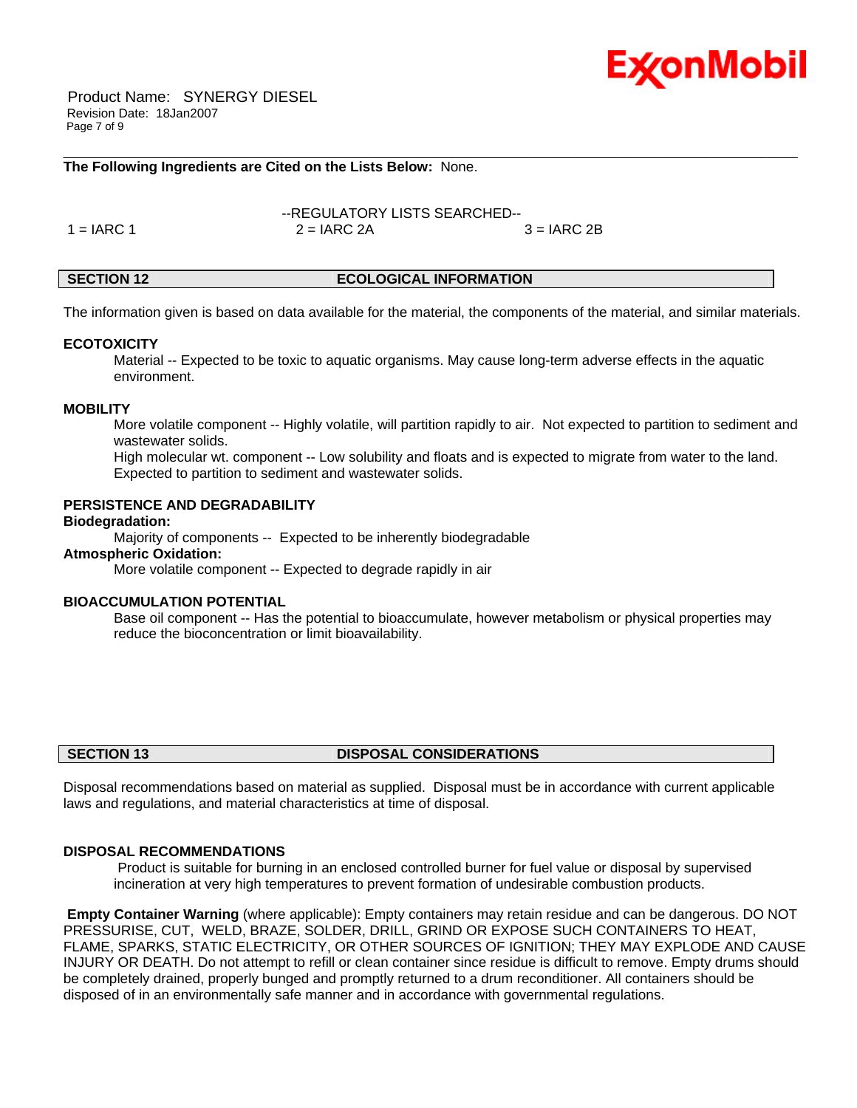

 Product Name: SYNERGY DIESEL Revision Date: 18Jan2007 Page 7 of 9

# **The Following Ingredients are Cited on the Lists Below:** None.

--REGULATORY LISTS SEARCHED--  $1 = IARC 1$   $2 = IARC 2A$   $3 = IARC 2B$ 

# **SECTION 12 ECOLOGICAL INFORMATION**

\_\_\_\_\_\_\_\_\_\_\_\_\_\_\_\_\_\_\_\_\_\_\_\_\_\_\_\_\_\_\_\_\_\_\_\_\_\_\_\_\_\_\_\_\_\_\_\_\_\_\_\_\_\_\_\_\_\_\_\_\_\_\_\_\_\_\_\_\_\_\_\_\_\_\_\_\_\_\_\_\_\_\_\_\_\_\_\_\_\_\_\_\_\_\_\_\_\_\_\_\_\_\_\_\_\_\_\_\_\_\_\_\_\_\_\_\_\_

The information given is based on data available for the material, the components of the material, and similar materials.

### **ECOTOXICITY**

 Material -- Expected to be toxic to aquatic organisms. May cause long-term adverse effects in the aquatic environment.

# **MOBILITY**

 More volatile component -- Highly volatile, will partition rapidly to air. Not expected to partition to sediment and wastewater solids.

 High molecular wt. component -- Low solubility and floats and is expected to migrate from water to the land. Expected to partition to sediment and wastewater solids.

# **PERSISTENCE AND DEGRADABILITY**

# **Biodegradation:**

Majority of components -- Expected to be inherently biodegradable

# **Atmospheric Oxidation:**

More volatile component -- Expected to degrade rapidly in air

# **BIOACCUMULATION POTENTIAL**

 Base oil component -- Has the potential to bioaccumulate, however metabolism or physical properties may reduce the bioconcentration or limit bioavailability.

# **SECTION 13 DISPOSAL CONSIDERATIONS**

Disposal recommendations based on material as supplied. Disposal must be in accordance with current applicable laws and regulations, and material characteristics at time of disposal.

### **DISPOSAL RECOMMENDATIONS**

 Product is suitable for burning in an enclosed controlled burner for fuel value or disposal by supervised incineration at very high temperatures to prevent formation of undesirable combustion products.

**Empty Container Warning** (where applicable): Empty containers may retain residue and can be dangerous. DO NOT PRESSURISE, CUT, WELD, BRAZE, SOLDER, DRILL, GRIND OR EXPOSE SUCH CONTAINERS TO HEAT, FLAME, SPARKS, STATIC ELECTRICITY, OR OTHER SOURCES OF IGNITION; THEY MAY EXPLODE AND CAUSE INJURY OR DEATH. Do not attempt to refill or clean container since residue is difficult to remove. Empty drums should be completely drained, properly bunged and promptly returned to a drum reconditioner. All containers should be disposed of in an environmentally safe manner and in accordance with governmental regulations.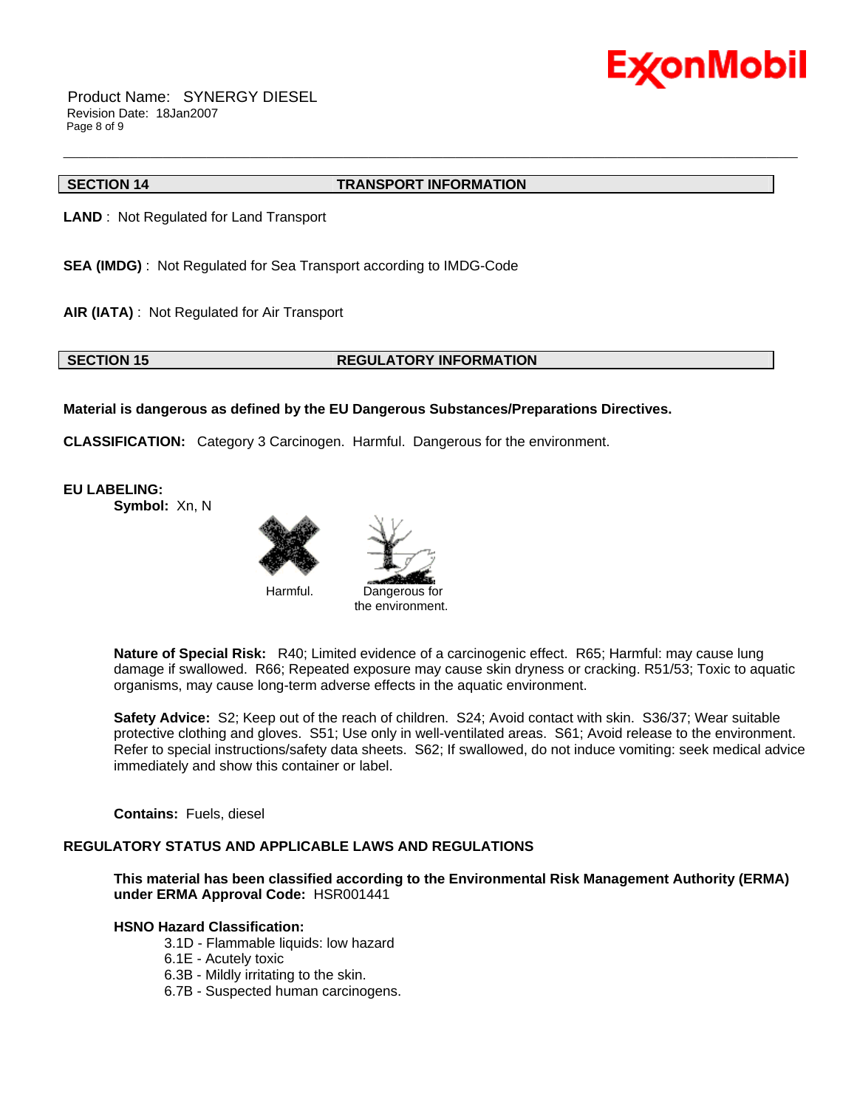

 Product Name: SYNERGY DIESEL Revision Date: 18Jan2007 Page 8 of 9

# **SECTION 14 TRANSPORT INFORMATION**

\_\_\_\_\_\_\_\_\_\_\_\_\_\_\_\_\_\_\_\_\_\_\_\_\_\_\_\_\_\_\_\_\_\_\_\_\_\_\_\_\_\_\_\_\_\_\_\_\_\_\_\_\_\_\_\_\_\_\_\_\_\_\_\_\_\_\_\_\_\_\_\_\_\_\_\_\_\_\_\_\_\_\_\_\_\_\_\_\_\_\_\_\_\_\_\_\_\_\_\_\_\_\_\_\_\_\_\_\_\_\_\_\_\_\_\_\_\_

**LAND** : Not Regulated for Land Transport

**SEA (IMDG)** : Not Regulated for Sea Transport according to IMDG-Code

**AIR (IATA)** : Not Regulated for Air Transport

### **SECTION 15 REGULATORY INFORMATION**

# **Material is dangerous as defined by the EU Dangerous Substances/Preparations Directives.**

**CLASSIFICATION:** Category 3 Carcinogen. Harmful. Dangerous for the environment.

**EU LABELING:**

**Symbol:** Xn, N







**Nature of Special Risk:** R40; Limited evidence of a carcinogenic effect. R65; Harmful: may cause lung damage if swallowed. R66; Repeated exposure may cause skin dryness or cracking. R51/53; Toxic to aquatic organisms, may cause long-term adverse effects in the aquatic environment.

**Safety Advice:** S2; Keep out of the reach of children. S24; Avoid contact with skin. S36/37; Wear suitable protective clothing and gloves. S51; Use only in well-ventilated areas. S61; Avoid release to the environment. Refer to special instructions/safety data sheets. S62; If swallowed, do not induce vomiting: seek medical advice immediately and show this container or label.

**Contains:** Fuels, diesel

# **REGULATORY STATUS AND APPLICABLE LAWS AND REGULATIONS**

**This material has been classified according to the Environmental Risk Management Authority (ERMA) under ERMA Approval Code:** HSR001441

# **HSNO Hazard Classification:**

3.1D - Flammable liquids: low hazard

6.1E - Acutely toxic

6.3B - Mildly irritating to the skin.

6.7B - Suspected human carcinogens.